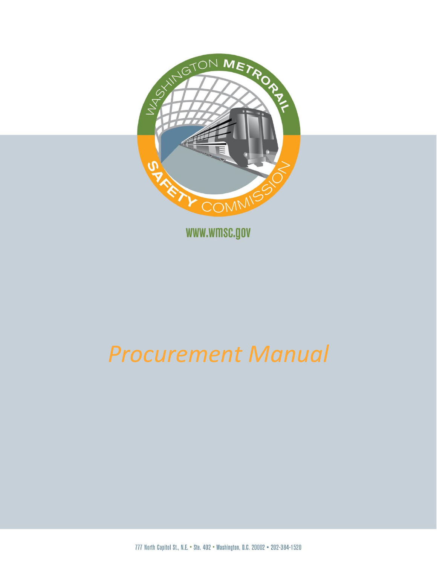

# *Procurement Manual*

777 North Capitol St., N.E. . Ste. 402 . Washington, D.C. 20002 . 202-384-1520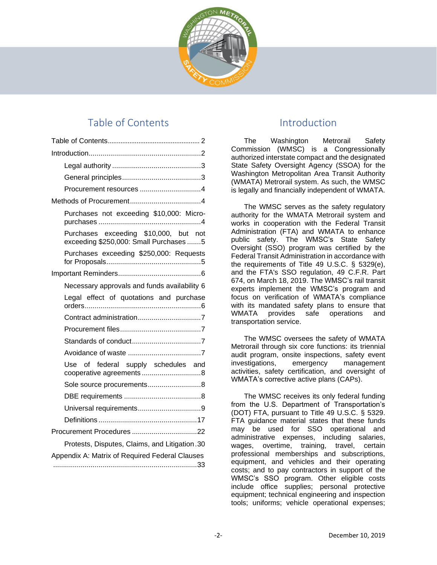

## Table of Contents

<span id="page-1-0"></span>

| Purchases not exceeding \$10,000: Micro-                                        |  |  |
|---------------------------------------------------------------------------------|--|--|
| Purchases exceeding \$10,000, but not<br>exceeding \$250,000: Small Purchases 5 |  |  |
| Purchases exceeding \$250,000: Requests                                         |  |  |
|                                                                                 |  |  |
| Necessary approvals and funds availability 6                                    |  |  |
| Legal effect of quotations and purchase                                         |  |  |
|                                                                                 |  |  |
|                                                                                 |  |  |
|                                                                                 |  |  |
|                                                                                 |  |  |
| of federal supply schedules and<br>Use                                          |  |  |
|                                                                                 |  |  |
|                                                                                 |  |  |
|                                                                                 |  |  |
|                                                                                 |  |  |
|                                                                                 |  |  |
| Protests, Disputes, Claims, and Litigation.30                                   |  |  |
| Appendix A: Matrix of Required Federal Clauses                                  |  |  |
|                                                                                 |  |  |

## Introduction

<span id="page-1-1"></span>The Washington Metrorail Safety Commission (WMSC) is a Congressionally authorized interstate compact and the designated State Safety Oversight Agency (SSOA) for the Washington Metropolitan Area Transit Authority (WMATA) Metrorail system. As such, the WMSC is legally and financially independent of WMATA.

The WMSC serves as the safety regulatory authority for the WMATA Metrorail system and works in cooperation with the Federal Transit Administration (FTA) and WMATA to enhance public safety. The WMSC's State Safety Oversight (SSO) program was certified by the Federal Transit Administration in accordance with the requirements of Title 49 U.S.C. § 5329(e), and the FTA's SSO regulation, 49 C.F.R. Part 674, on March 18, 2019. The WMSC's rail transit experts implement the WMSC's program and focus on verification of WMATA's compliance with its mandated safety plans to ensure that WMATA provides safe operations and transportation service.

The WMSC oversees the safety of WMATA Metrorail through six core functions: its triennial audit program, onsite inspections, safety event investigations, emergency management activities, safety certification, and oversight of WMATA's corrective active plans (CAPs).

The WMSC receives its only federal funding from the U.S. Department of Transportation's (DOT) FTA, pursuant to Title 49 U.S.C. § 5329. FTA guidance material states that these funds may be used for SSO operational and administrative expenses, including salaries, wages, overtime, training, travel, certain professional memberships and subscriptions, equipment, and vehicles and their operating costs; and to pay contractors in support of the WMSC's SSO program. Other eligible costs include office supplies; personal protective equipment; technical engineering and inspection tools; uniforms; vehicle operational expenses;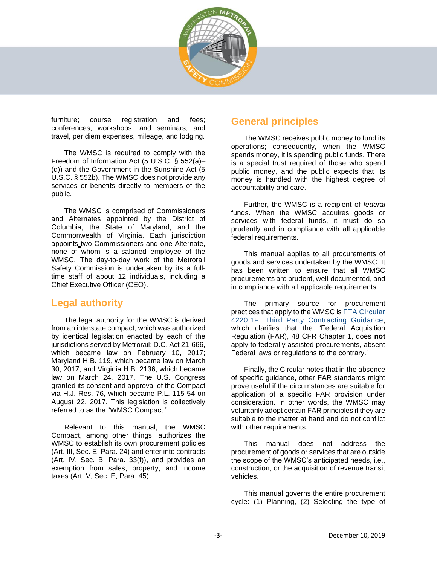

furniture; course registration and fees; conferences, workshops, and seminars; and travel, per diem expenses, mileage, and lodging.

The WMSC is required to comply with the Freedom of Information Act (5 U.S.C. § 552(a)– (d)) and the Government in the Sunshine Act (5 U.S.C. § 552b). The WMSC does not provide any services or benefits directly to members of the public.

The WMSC is comprised of Commissioners and Alternates appointed by the District of Columbia, the State of Maryland, and the Commonwealth of Virginia. Each jurisdiction appoints\_two Commissioners and one Alternate, none of whom is a salaried employee of the WMSC. The day-to-day work of the Metrorail Safety Commission is undertaken by its a fulltime staff of about 12 individuals, including a Chief Executive Officer (CEO).

## <span id="page-2-0"></span>**Legal authority**

The legal authority for the WMSC is derived from an interstate compact, which was authorized by identical legislation enacted by each of the jurisdictions served by Metrorail: D.C. Act 21-666, which became law on February 10, 2017; Maryland H.B. 119, which became law on March 30, 2017; and Virginia H.B. 2136, which became law on March 24, 2017. The U.S. Congress granted its consent and approval of the Compact via H.J. Res. 76, which became P.L. 115-54 on August 22, 2017. This legislation is collectively referred to as the "WMSC Compact."

Relevant to this manual, the WMSC Compact, among other things, authorizes the WMSC to establish its own procurement policies (Art. III, Sec. E, Para. 24) and enter into contracts (Art. IV, Sec. B, Para. 33(f)), and provides an exemption from sales, property, and income taxes (Art. V, Sec. E, Para. 45).

## <span id="page-2-1"></span>**General principles**

The WMSC receives public money to fund its operations; consequently, when the WMSC spends money, it is spending public funds. There is a special trust required of those who spend public money, and the public expects that its money is handled with the highest degree of accountability and care.

Further, the WMSC is a recipient of *federal* funds. When the WMSC acquires goods or services with federal funds, it must do so prudently and in compliance with all applicable federal requirements.

This manual applies to all procurements of goods and services undertaken by the WMSC. It has been written to ensure that all WMSC procurements are prudent, well-documented, and in compliance with all applicable requirements.

The primary source for procurement practices that apply to the WMSC is FTA Circular 4220.1F, Third Party Contracting Guidance, which clarifies that the "Federal Acquisition Regulation (FAR), 48 CFR Chapter 1, does **not** apply to federally assisted procurements, absent Federal laws or regulations to the contrary."

Finally, the Circular notes that in the absence of specific guidance, other FAR standards might prove useful if the circumstances are suitable for application of a specific FAR provision under consideration. In other words, the WMSC may voluntarily adopt certain FAR principles if they are suitable to the matter at hand and do not conflict with other requirements.

This manual does not address the procurement of goods or services that are outside the scope of the WMSC's anticipated needs, i.e., construction, or the acquisition of revenue transit vehicles.

This manual governs the entire procurement cycle: (1) Planning, (2) Selecting the type of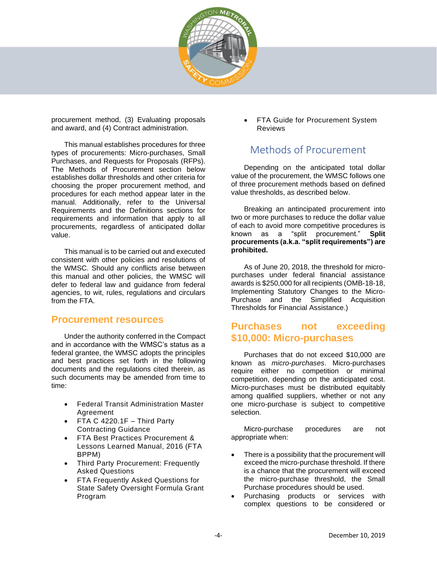

procurement method, (3) Evaluating proposals and award, and (4) Contract administration.

This manual establishes procedures for three types of procurements: Micro-purchases, Small Purchases, and Requests for Proposals (RFPs). The Methods of Procurement section below establishes dollar thresholds and other criteria for choosing the proper procurement method, and procedures for each method appear later in the manual. Additionally, refer to the Universal Requirements and the Definitions sections for requirements and information that apply to all procurements, regardless of anticipated dollar value.

This manual is to be carried out and executed consistent with other policies and resolutions of the WMSC. Should any conflicts arise between this manual and other policies, the WMSC will defer to federal law and guidance from federal agencies, to wit, rules, regulations and circulars from the FTA

#### <span id="page-3-0"></span>**Procurement resources**

Under the authority conferred in the Compact and in accordance with the WMSC's status as a federal grantee, the WMSC adopts the principles and best practices set forth in the following documents and the regulations cited therein, as such documents may be amended from time to time:

- Federal Transit Administration Master Agreement
- FTA C 4220.1F Third Party Contracting Guidance
- FTA Best Practices Procurement & Lessons Learned Manual, 2016 (FTA BPPM)
- Third Party Procurement: Frequently Asked Questions
- FTA Frequently Asked Questions for State Safety Oversight Formula Grant Program

FTA Guide for Procurement System Reviews

## Methods of Procurement

<span id="page-3-1"></span>Depending on the anticipated total dollar value of the procurement, the WMSC follows one of three procurement methods based on defined value thresholds, as described below.

Breaking an antincipated procurement into two or more purchases to reduce the dollar value of each to avoid more competitive procedures is known as a "split procurement." **Split procurements (a.k.a. "split requirements") are prohibited.**

As of June 20, 2018, the threshold for micropurchases under federal financial assistance awards is \$250,000 for all recipients (OMB-18-18, Implementing Statutory Changes to the Micro-Purchase and the Simplified Acquisition Thresholds for Financial Assistance.)

## <span id="page-3-2"></span>**Purchases not exceeding \$10,000: Micro-purchases**

Purchases that do not exceed \$10,000 are known as *micro-purchases*. Micro-purchases require either no competition or minimal competition, depending on the anticipated cost. Micro-purchases must be distributed equitably among qualified suppliers, whether or not any one micro-purchase is subject to competitive selection.

Micro-purchase procedures are not appropriate when:

- There is a possibility that the procurement will exceed the micro-purchase threshold. If there is a chance that the procurement will exceed the micro-purchase threshold, the Small Purchase procedures should be used.
- Purchasing products or services with complex questions to be considered or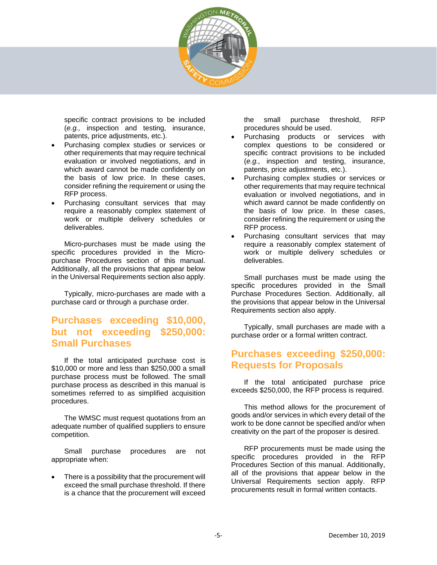

specific contract provisions to be included (*e.g.,* inspection and testing, insurance, patents, price adjustments, etc.).

- Purchasing complex studies or services or other requirements that may require technical evaluation or involved negotiations, and in which award cannot be made confidently on the basis of low price. In these cases, consider refining the requirement or using the RFP process.
- Purchasing consultant services that may require a reasonably complex statement of work or multiple delivery schedules or deliverables.

Micro-purchases must be made using the specific procedures provided in the Micropurchase Procedures section of this manual. Additionally, all the provisions that appear below in the Universal Requirements section also apply.

Typically, micro-purchases are made with a purchase card or through a purchase order.

## <span id="page-4-0"></span>**Purchases exceeding \$10,000, but not exceeding \$250,000: Small Purchases**

If the total anticipated purchase cost is \$10,000 or more and less than \$250,000 a small purchase process must be followed. The small purchase process as described in this manual is sometimes referred to as simplified acquisition procedures.

The WMSC must request quotations from an adequate number of qualified suppliers to ensure competition.

Small purchase procedures are not appropriate when:

There is a possibility that the procurement will exceed the small purchase threshold. If there is a chance that the procurement will exceed

the small purchase threshold, RFP procedures should be used.

- Purchasing products or services with complex questions to be considered or specific contract provisions to be included (*e.g.,* inspection and testing, insurance, patents, price adjustments, etc.).
- Purchasing complex studies or services or other requirements that may require technical evaluation or involved negotiations, and in which award cannot be made confidently on the basis of low price. In these cases, consider refining the requirement or using the RFP process.
- Purchasing consultant services that may require a reasonably complex statement of work or multiple delivery schedules or deliverables.

Small purchases must be made using the specific procedures provided in the Small Purchase Procedures Section. Additionally, all the provisions that appear below in the Universal Requirements section also apply.

Typically, small purchases are made with a purchase order or a formal written contract.

## <span id="page-4-1"></span>**Purchases exceeding \$250,000: Requests for Proposals**

If the total anticipated purchase price exceeds \$250,000, the RFP process is required.

This method allows for the procurement of goods and/or services in which every detail of the work to be done cannot be specified and/or when creativity on the part of the proposer is desired.

RFP procurements must be made using the specific procedures provided in the RFP Procedures Section of this manual. Additionally, all of the provisions that appear below in the Universal Requirements section apply. RFP procurements result in formal written contacts.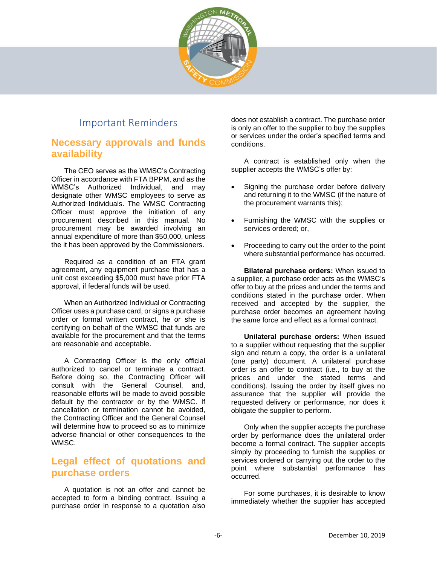

## Important Reminders

## <span id="page-5-1"></span><span id="page-5-0"></span>**Necessary approvals and funds availability**

The CEO serves as the WMSC's Contracting Officer in accordance with FTA BPPM, and as the WMSC's Authorized Individual, and may designate other WMSC employees to serve as Authorized Individuals. The WMSC Contracting Officer must approve the initiation of any procurement described in this manual. No procurement may be awarded involving an annual expenditure of more than \$50,000, unless the it has been approved by the Commissioners.

Required as a condition of an FTA grant agreement, any equipment purchase that has a unit cost exceeding \$5,000 must have prior FTA approval, if federal funds will be used.

When an Authorized Individual or Contracting Officer uses a purchase card, or signs a purchase order or formal written contract, he or she is certifying on behalf of the WMSC that funds are available for the procurement and that the terms are reasonable and acceptable.

A Contracting Officer is the only official authorized to cancel or terminate a contract. Before doing so, the Contracting Officer will consult with the General Counsel, and, reasonable efforts will be made to avoid possible default by the contractor or by the WMSC. If cancellation or termination cannot be avoided, the Contracting Officer and the General Counsel will determine how to proceed so as to minimize adverse financial or other consequences to the WMSC.

## <span id="page-5-2"></span>**Legal effect of quotations and purchase orders**

A quotation is not an offer and cannot be accepted to form a binding contract. Issuing a purchase order in response to a quotation also does not establish a contract. The purchase order is only an offer to the supplier to buy the supplies or services under the order's specified terms and conditions.

A contract is established only when the supplier accepts the WMSC's offer by:

- Signing the purchase order before delivery and returning it to the WMSC (if the nature of the procurement warrants this);
- Furnishing the WMSC with the supplies or services ordered; or,
- Proceeding to carry out the order to the point where substantial performance has occurred.

**Bilateral purchase orders:** When issued to a supplier, a purchase order acts as the WMSC's offer to buy at the prices and under the terms and conditions stated in the purchase order. When received and accepted by the supplier, the purchase order becomes an agreement having the same force and effect as a formal contract.

**Unilateral purchase orders:** When issued to a supplier without requesting that the supplier sign and return a copy, the order is a unilateral (one party) document. A unilateral purchase order is an offer to contract (i.e., to buy at the prices and under the stated terms and conditions). Issuing the order by itself gives no assurance that the supplier will provide the requested delivery or performance, nor does it obligate the supplier to perform.

Only when the supplier accepts the purchase order by performance does the unilateral order become a formal contract. The supplier accepts simply by proceeding to furnish the supplies or services ordered or carrying out the order to the point where substantial performance has occurred.

For some purchases, it is desirable to know immediately whether the supplier has accepted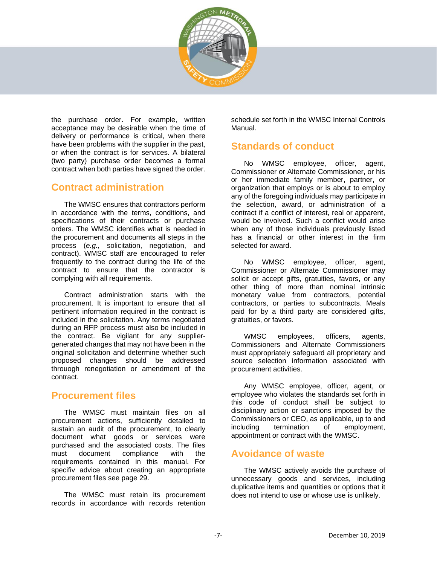

the purchase order. For example, written acceptance may be desirable when the time of delivery or performance is critical, when there have been problems with the supplier in the past, or when the contract is for services. A bilateral (two party) purchase order becomes a formal contract when both parties have signed the order.

## <span id="page-6-0"></span>**Contract administration**

The WMSC ensures that contractors perform in accordance with the terms, conditions, and specifications of their contracts or purchase orders. The WMSC identifies what is needed in the procurement and documents all steps in the process (*e.g.,* solicitation, negotiation, and contract). WMSC staff are encouraged to refer frequently to the contract during the life of the contract to ensure that the contractor is complying with all requirements.

Contract administration starts with the procurement. It is important to ensure that all pertinent information required in the contract is included in the solicitation. Any terms negotiated during an RFP process must also be included in the contract. Be vigilant for any suppliergenerated changes that may not have been in the original solicitation and determine whether such proposed changes should be addressed throuogh renegotiation or amendment of the contract.

## <span id="page-6-1"></span>**Procurement files**

The WMSC must maintain files on all procurement actions, sufficiently detailed to sustain an audit of the procurement, to clearly document what goods or services were purchased and the associated costs. The files must document compliance with the requirements contained in this manual. For specifiv advice about creating an appropriate procurement files see page [29.](#page-28-0)

The WMSC must retain its procurement records in accordance with records retention

schedule set forth in the WMSC Internal Controls Manual.

## <span id="page-6-2"></span>**Standards of conduct**

No WMSC employee, officer, agent, Commissioner or Alternate Commissioner, or his or her immediate family member, partner, or organization that employs or is about to employ any of the foregoing individuals may participate in the selection, award, or administration of a contract if a conflict of interest, real or apparent, would be involved. Such a conflict would arise when any of those individuals previously listed has a financial or other interest in the firm selected for award.

No WMSC employee, officer, agent, Commissioner or Alternate Commissioner may solicit or accept gifts, gratuities, favors, or any other thing of more than nominal intrinsic monetary value from contractors, potential contractors, or parties to subcontracts. Meals paid for by a third party are considered gifts, gratuities, or favors.

WMSC employees, officers, agents, Commissioners and Alternate Commissioners must appropriately safeguard all proprietary and source selection information associated with procurement activities.

Any WMSC employee, officer, agent, or employee who violates the standards set forth in this code of conduct shall be subject to disciplinary action or sanctions imposed by the Commissioners or CEO, as applicable, up to and including termination of employment, appointment or contract with the WMSC.

## <span id="page-6-3"></span>**Avoidance of waste**

The WMSC actively avoids the purchase of unnecessary goods and services, including duplicative items and quantities or options that it does not intend to use or whose use is unlikely.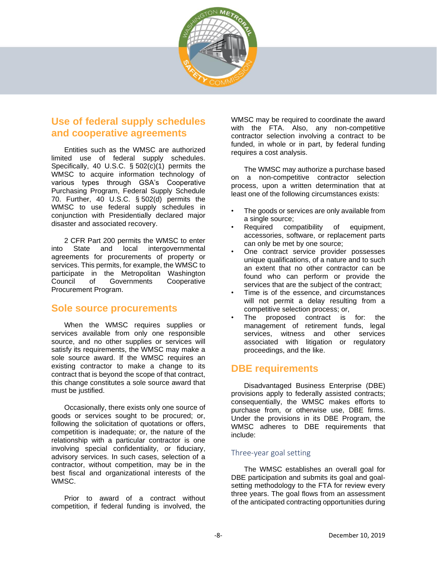

## <span id="page-7-0"></span>**Use of federal supply schedules and cooperative agreements**

Entities such as the WMSC are authorized limited use of federal supply schedules. Specifically, 40 U.S.C. § 502(c)(1) permits the WMSC to acquire information technology of various types through GSA's Cooperative Purchasing Program, Federal Supply Schedule 70. Further, 40 U.S.C. § 502(d) permits the WMSC to use federal supply schedules in conjunction with Presidentially declared major disaster and associated recovery.

2 CFR Part 200 permits the WMSC to enter into State and local intergovernmental agreements for procurements of property or services. This permits, for example, the WMSC to participate in the Metropolitan Washington Council of Governments Cooperative Procurement Program.

#### <span id="page-7-1"></span>**Sole source procurements**

When the WMSC requires supplies or services available from only one responsible source, and no other supplies or services will satisfy its requirements, the WMSC may make a sole source award. If the WMSC requires an existing contractor to make a change to its contract that is beyond the scope of that contract, this change constitutes a sole source award that must be justified.

Occasionally, there exists only one source of goods or services sought to be procured; or, following the solicitation of quotations or offers, competition is inadequate; or, the nature of the relationship with a particular contractor is one involving special confidentiality, or fiduciary, advisory services. In such cases, selection of a contractor, without competition, may be in the best fiscal and organizational interests of the WMSC.

Prior to award of a contract without competition, if federal funding is involved, the WMSC may be required to coordinate the award with the FTA. Also, any non-competitive contractor selection involving a contract to be funded, in whole or in part, by federal funding requires a cost analysis.

The WMSC may authorize a purchase based on a non-competitive contractor selection process, upon a written determination that at least one of the following circumstances exists:

- The goods or services are only available from a single source;
- Required compatibility of equipment, accessories, software, or replacement parts can only be met by one source;
- One contract service provider possesses unique qualifications, of a nature and to such an extent that no other contractor can be found who can perform or provide the services that are the subject of the contract;
- Time is of the essence, and circumstances will not permit a delay resulting from a competitive selection process; or,
- The proposed contract is for: the management of retirement funds, legal services, witness and other services associated with litigation or regulatory proceedings, and the like.

## <span id="page-7-2"></span>**DBE requirements**

Disadvantaged Business Enterprise (DBE) provisions apply to federally assisted contracts; consequentially, the WMSC makes efforts to purchase from, or otherwise use, DBE firms. Under the provisions in its DBE Program, the WMSC adheres to DBE requirements that include:

#### Three-year goal setting

The WMSC establishes an overall goal for DBE participation and submits its goal and goalsetting methodology to the FTA for review every three years. The goal flows from an assessment of the anticipated contracting opportunities during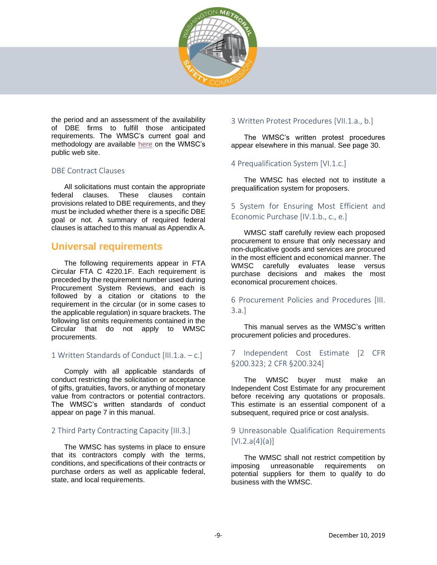

the period and an assessment of the availability of DBE firms to fulfill those anticipated requirements. The WMSC's current goal and methodology are available [here](http://wmsc.gov/dbe-program) on the WMSC's public web site.

#### DBE Contract Clauses

All solicitations must contain the appropriate federal clauses. These clauses contain provisions related to DBE requirements, and they must be included whether there is a specific DBE goal or not. A summary of required federal clauses is attached to this manual as Appendix A.

## <span id="page-8-0"></span>**Universal requirements**

The following requirements appear in FTA Circular FTA C 4220.1F. Each requirement is preceded by the requirement number used during Procurement System Reviews, and each is followed by a citation or citations to the requirement in the circular (or in some cases to the applicable regulation) in square brackets. The following list omits requirements contained in the Circular that do not apply to WMSC procurements.

#### 1 Written Standards of Conduct [III.1.a. – c.]

Comply with all applicable standards of conduct restricting the solicitation or acceptance of gifts, gratuities, favors, or anything of monetary value from contractors or potential contractors. The WMSC's written standards of conduct appear on page [7](#page-6-2) in this manual.

#### 2 Third Party Contracting Capacity [III.3.]

The WMSC has systems in place to ensure that its contractors comply with the terms, conditions, and specifications of their contracts or purchase orders as well as applicable federal, state, and local requirements.

#### 3 Written Protest Procedures [VII.1.a., b.]

The WMSC's written protest procedures appear elsewhere in this manual. See page [30.](#page-29-0)

#### 4 Prequalification System [VI.1.c.]

The WMSC has elected not to institute a prequalification system for proposers.

#### 5 System for Ensuring Most Efficient and Economic Purchase [IV.1.b., c., e.]

WMSC staff carefully review each proposed procurement to ensure that only necessary and non-duplicative goods and services are procured in the most efficient and economical manner. The WMSC carefully evaluates lease versus purchase decisions and makes the most economical procurement choices.

#### 6 Procurement Policies and Procedures [III. 3.a.]

This manual serves as the WMSC's written procurement policies and procedures.

#### 7 Independent Cost Estimate [2 CFR §200.323; 2 CFR §200.324]

The WMSC buyer must make an Independent Cost Estimate for any procurement before receiving any quotations or proposals. This estimate is an essential component of a subsequent, required price or cost analysis.

#### 9 Unreasonable Qualification Requirements  $[V1.2.a(4)(a)]$

The WMSC shall not restrict competition by imposing unreasonable requirements on potential suppliers for them to qualify to do business with the WMSC.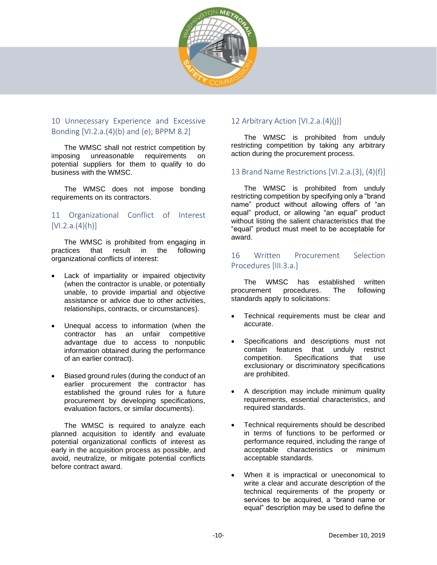

#### 10 Unnecessary Experience and Excessive Bonding [VI.2.a.(4)(b) and (e); BPPM 8.2]

The WMSC shall not restrict competition by imposing unreasonable requirements on potential suppliers for them to qualify to do business with the WMSC.

The WMSC does not impose bonding requirements on its contractors.

#### 11 Organizational Conflict of Interest  $[V1.2.a.(4)(h)]$

The WMSC is prohibited from engaging in practices that result in the following organizational conflicts of interest:

- Lack of impartiality or impaired objectivity (when the contractor is unable, or potentially unable, to provide impartial and objective assistance or advice due to other activities, relationships, contracts, or circumstances).
- Unequal access to information (when the contractor has an unfair competitive advantage due to access to nonpublic information obtained during the performance of an earlier contract).
- Biased ground rules (during the conduct of an earlier procurement the contractor has established the ground rules for a future procurement by developing specifications, evaluation factors, or similar documents).

The WMSC is required to analyze each planned acquisition to identify and evaluate potential organizational conflicts of interest as early in the acquisition process as possible, and avoid, neutralize, or mitigate potential conflicts before contract award.

#### 12 Arbitrary Action [VI.2.a.(4)(j)]

The WMSC is prohibited from unduly restricting competition by taking any arbitrary action during the procurement process.

#### 13 Brand Name Restrictions [VI.2.a.(3), (4)(f)]

The WMSC is prohibited from unduly restricting competition by specifying only a "brand name" product without allowing offers of "an equal" product, or allowing "an equal" product without listing the salient characteristics that the "equal" product must meet to be acceptable for award.

#### 16 Written Procurement Selection Procedures [III.3.a.]

The WMSC has established written procurement procedures. The following standards apply to solicitations:

- Technical requirements must be clear and accurate.
- Specifications and descriptions must not contain features that unduly restrict competition. Specifications that use exclusionary or discriminatory specifications are prohibited.
- A description may include minimum quality requirements, essential characteristics, and required standards.
- Technical requirements should be described in terms of functions to be performed or performance required, including the range of acceptable characteristics or minimum acceptable standards.
- When it is impractical or uneconomical to write a clear and accurate description of the technical requirements of the property or services to be acquired, a "brand name or equal" description may be used to define the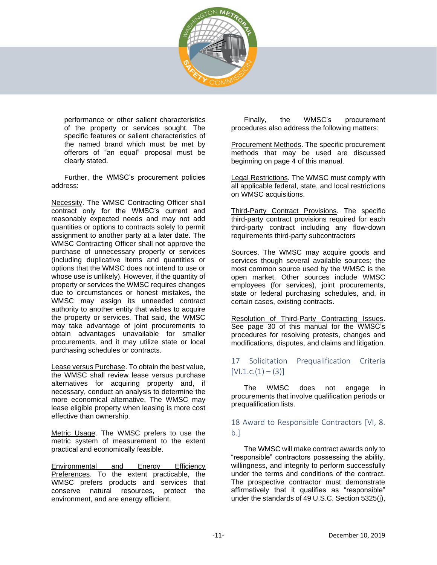

performance or other salient characteristics of the property or services sought. The specific features or salient characteristics of the named brand which must be met by offerors of "an equal" proposal must be clearly stated.

Further, the WMSC's procurement policies address:

Necessity. The WMSC Contracting Officer shall contract only for the WMSC's current and reasonably expected needs and may not add quantities or options to contracts solely to permit assignment to another party at a later date. The WMSC Contracting Officer shall not approve the purchase of unnecessary property or services (including duplicative items and quantities or options that the WMSC does not intend to use or whose use is unlikely). However, if the quantity of property or services the WMSC requires changes due to circumstances or honest mistakes, the WMSC may assign its unneeded contract authority to another entity that wishes to acquire the property or services. That said, the WMSC may take advantage of joint procurements to obtain advantages unavailable for smaller procurements, and it may utilize state or local purchasing schedules or contracts.

Lease versus Purchase. To obtain the best value, the WMSC shall review lease versus purchase alternatives for acquiring property and, if necessary, conduct an analysis to determine the more economical alternative. The WMSC may lease eligible property when leasing is more cost effective than ownership.

Metric Usage. The WMSC prefers to use the metric system of measurement to the extent practical and economically feasible.

Environmental and Energy Efficiency Preferences. To the extent practicable, the WMSC prefers products and services that conserve natural resources, protect the environment, and are energy efficient.

Finally, the WMSC's procurement procedures also address the following matters:

Procurement Methods. The specific procurement methods that may be used are discussed beginning on page [4](#page-3-1) of this manual.

Legal Restrictions. The WMSC must comply with all applicable federal, state, and local restrictions on WMSC acquisitions.

Third-Party Contract Provisions. The specific third-party contract provisions required for each third-party contract including any flow-down requirements third-party subcontractors

Sources. The WMSC may acquire goods and services though several available sources; the most common source used by the WMSC is the open market. Other sources include WMSC employees (for services), joint procurements, state or federal purchasing schedules, and, in certain cases, existing contracts.

Resolution of Third-Party Contracting Issues. See page [30](#page-29-0) of this manual for the WMSC's procedures for resolving protests, changes and modifications, disputes, and claims and litigation.

#### 17 Solicitation Prequalification Criteria  $[V1.1.c.(1) - (3)]$

The WMSC does not engage in procurements that involve qualification periods or prequalification lists.

#### <span id="page-10-0"></span>18 Award to Responsible Contractors [VI, 8.  $b.1$

The WMSC will make contract awards only to "responsible" contractors possessing the ability, willingness, and integrity to perform successfully under the terms and conditions of the contract. The prospective contractor must demonstrate affirmatively that it qualifies as "responsible" under the standards of 49 U.S.C. Section 5325(j),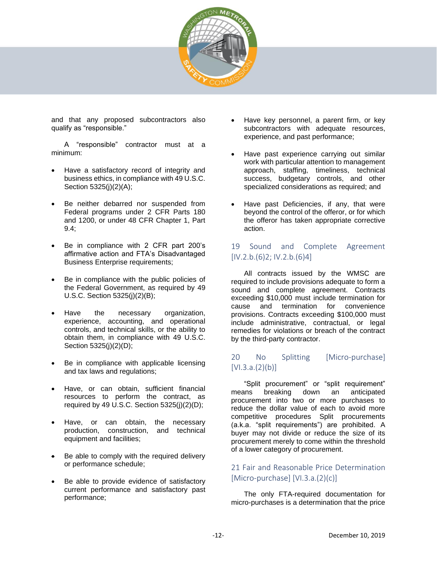

and that any proposed subcontractors also qualify as "responsible."

A "responsible" contractor must at a minimum:

- Have a satisfactory record of integrity and business ethics, in compliance with 49 U.S.C. Section 5325(j)(2)(A);
- Be neither debarred nor suspended from Federal programs under 2 CFR Parts 180 and 1200, or under 48 CFR Chapter 1, Part 9.4;
- Be in compliance with 2 CFR part 200's affirmative action and FTA's Disadvantaged Business Enterprise requirements;
- Be in compliance with the public policies of the Federal Government, as required by 49 U.S.C. Section 5325(j)(2)(B);
- Have the necessary organization, experience, accounting, and operational controls, and technical skills, or the ability to obtain them, in compliance with 49 U.S.C. Section 5325(j)(2)(D);
- Be in compliance with applicable licensing and tax laws and regulations;
- Have, or can obtain, sufficient financial resources to perform the contract, as required by 49 U.S.C. Section 5325(j)(2)(D);
- Have, or can obtain, the necessary production, construction, and technical equipment and facilities;
- Be able to comply with the required delivery or performance schedule;
- Be able to provide evidence of satisfactory current performance and satisfactory past performance;
- Have key personnel, a parent firm, or key subcontractors with adequate resources, experience, and past performance;
- Have past experience carrying out similar work with particular attention to management approach, staffing, timeliness, technical success, budgetary controls, and other specialized considerations as required; and
- Have past Deficiencies, if any, that were beyond the control of the offeror, or for which the offeror has taken appropriate corrective action.

#### 19 Sound and Complete Agreement  $[IV.2.b.(6)2; IV.2.b.(6)4]$

All contracts issued by the WMSC are required to include provisions adequate to form a sound and complete agreement. Contracts exceeding \$10,000 must include termination for cause and termination for convenience provisions. Contracts exceeding \$100,000 must include administrative, contractual, or legal remedies for violations or breach of the contract by the third-party contractor.

#### 20 No Splitting [Micro-purchase]  $[V1.3.a.(2)(b)]$

"Split procurement" or "split requirement" means breaking down an anticipated procurement into two or more purchases to reduce the dollar value of each to avoid more competitive procedures Split procurements (a.k.a. "split requirements") are prohibited. A buyer may not divide or reduce the size of its procurement merely to come within the threshold of a lower category of procurement.

#### 21 Fair and Reasonable Price Determination [Micro-purchase] [VI.3.a.(2)(c)]

The only FTA-required documentation for micro-purchases is a determination that the price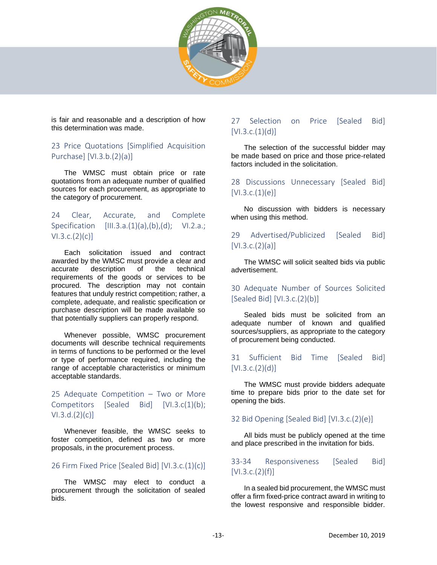

is fair and reasonable and a description of how this determination was made.

#### 23 Price Quotations [Simplified Acquisition Purchase] [VI.3.b.(2)(a)]

The WMSC must obtain price or rate quotations from an adequate number of qualified sources for each procurement, as appropriate to the category of procurement.

#### 24 Clear, Accurate, and Complete Specification  $[III.3.a.(1)(a),(b),(d);$  VI.2.a.;  $V1.3.c.(2)(c)$ ]

Each solicitation issued and contract awarded by the WMSC must provide a clear and accurate description of the technical requirements of the goods or services to be procured. The description may not contain features that unduly restrict competition; rather, a complete, adequate, and realistic specification or purchase description will be made available so that potentially suppliers can properly respond.

Whenever possible, WMSC procurement documents will describe technical requirements in terms of functions to be performed or the level or type of performance required, including the range of acceptable characteristics or minimum acceptable standards.

#### 25 Adequate Competition – Two or More Competitors [Sealed Bid] [VI.3.c(1)(b);  $V1.3.d.(2)(c)$

Whenever feasible, the WMSC seeks to foster competition, defined as two or more proposals, in the procurement process.

#### 26 Firm Fixed Price [Sealed Bid] [VI.3.c.(1)(c)]

The WMSC may elect to conduct a procurement through the solicitation of sealed bids.

#### 27 Selection on Price [Sealed Bid]  $[V1.3.c.(1)(d)]$

The selection of the successful bidder may be made based on price and those price-related factors included in the solicitation.

#### 28 Discussions Unnecessary [Sealed Bid]  $[V1.3.c.(1)(e)]$

No discussion with bidders is necessary when using this method.

#### 29 Advertised/Publicized [Sealed Bid]  $[V1.3.c.(2)(a)]$

The WMSC will solicit sealted bids via public advertisement.

#### 30 Adequate Number of Sources Solicited [Sealed Bid] [VI.3.c.(2)(b)]

Sealed bids must be solicited from an adequate number of known and qualified sources/suppliers, as appropriate to the category of procurement being conducted.

#### 31 Sufficient Bid Time [Sealed Bid]  $[V1.3.c.(2)(d)]$

The WMSC must provide bidders adequate time to prepare bids prior to the date set for opening the bids.

#### 32 Bid Opening [Sealed Bid] [VI.3.c.(2)(e)]

All bids must be publicly opened at the time and place prescribed in the invitation for bids.

#### 33-34 Responsiveness [Sealed Bid]  $[V1.3.c.(2)(f)]$

In a sealed bid procurement, the WMSC must offer a firm fixed-price contract award in writing to the lowest responsive and responsible bidder.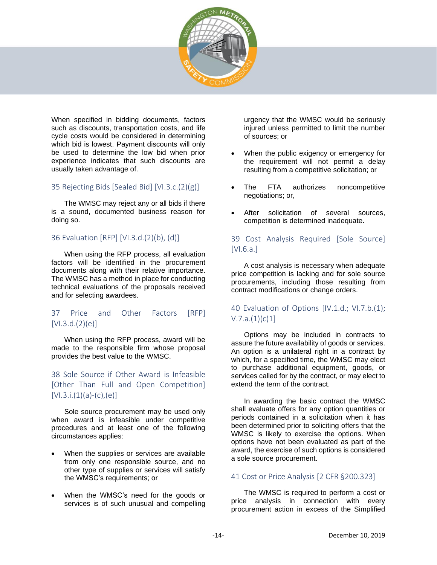

When specified in bidding documents, factors such as discounts, transportation costs, and life cycle costs would be considered in determining which bid is lowest. Payment discounts will only be used to determine the low bid when prior experience indicates that such discounts are usually taken advantage of.

#### 35 Rejecting Bids [Sealed Bid] [VI.3.c.(2)(g)]

The WMSC may reject any or all bids if there is a sound, documented business reason for doing so.

#### 36 Evaluation [RFP] [VI.3.d.(2)(b), (d)]

When using the RFP process, all evaluation factors will be identified in the procurement documents along with their relative importance. The WMSC has a method in place for conducting technical evaluations of the proposals received and for selecting awardees.

#### 37 Price and Other Factors [RFP] [VI.3.d.(2)(e)]

When using the RFP process, award will be made to the responsible firm whose proposal provides the best value to the WMSC.

#### 38 Sole Source if Other Award is Infeasible [Other Than Full and Open Competition]  $[V1.3.i.(1)(a)-(c),(e)]$

Sole source procurement may be used only when award is infeasible under competitive procedures and at least one of the following circumstances applies:

- When the supplies or services are available from only one responsible source, and no other type of supplies or services will satisfy the WMSC's requirements; or
- When the WMSC's need for the goods or services is of such unusual and compelling

urgency that the WMSC would be seriously injured unless permitted to limit the number of sources; or

- When the public exigency or emergency for the requirement will not permit a delay resulting from a competitive solicitation; or
- The FTA authorizes noncompetitive negotiations; or,
- After solicitation of several sources, competition is determined inadequate.

#### 39 Cost Analysis Required [Sole Source] [VI.6.a.]

A cost analysis is necessary when adequate price competition is lacking and for sole source procurements, including those resulting from contract modifications or change orders.

#### 40 Evaluation of Options [IV.1.d.; VI.7.b.(1);  $V.7.a.(1)(c)1]$

Options may be included in contracts to assure the future availability of goods or services. An option is a unilateral right in a contract by which, for a specified time, the WMSC may elect to purchase additional equipment, goods, or services called for by the contract, or may elect to extend the term of the contract.

In awarding the basic contract the WMSC shall evaluate offers for any option quantities or periods contained in a solicitation when it has been determined prior to soliciting offers that the WMSC is likely to exercise the options. When options have not been evaluated as part of the award, the exercise of such options is considered a sole source procurement.

#### 41 Cost or Price Analysis [2 CFR §200.323]

The WMSC is required to perform a cost or price analysis in connection with every procurement action in excess of the Simplified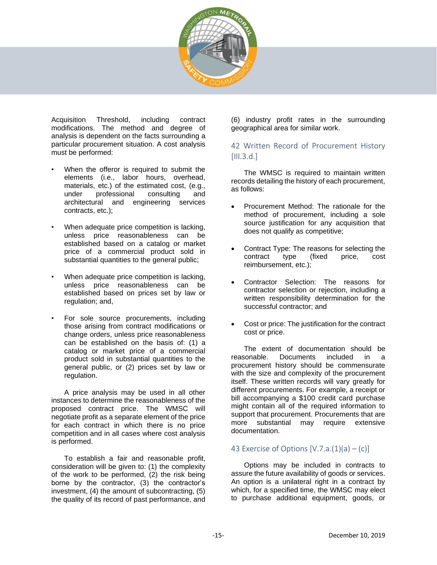

Acquisition Threshold, including contract modifications. The method and degree of analysis is dependent on the facts surrounding a particular procurement situation. A cost analysis must be performed:

- When the offeror is required to submit the elements (i.e., labor hours, overhead, materials, etc.) of the estimated cost, (e.g., under professional consulting and architectural and engineering services contracts, etc.);
- When adequate price competition is lacking, unless price reasonableness can be established based on a catalog or market price of a commercial product sold in substantial quantities to the general public;
- When adequate price competition is lacking. unless price reasonableness can be established based on prices set by law or regulation; and,
- For sole source procurements, including those arising from contract modifications or change orders, unless price reasonableness can be established on the basis of: (1) a catalog or market price of a commercial product sold in substantial quantities to the general public, or (2) prices set by law or regulation.

A price analysis may be used in all other instances to determine the reasonableness of the proposed contract price. The WMSC will negotiate profit as a separate element of the price for each contract in which there is no price competition and in all cases where cost analysis is performed.

To establish a fair and reasonable profit, consideration will be given to: (1) the complexity of the work to be performed, (2) the risk being borne by the contractor, (3) the contractor's investment, (4) the amount of subcontracting, (5) the quality of its record of past performance, and (6) industry profit rates in the surrounding geographical area for similar work.

#### 42 Written Record of Procurement History  $[III.3.d.]$

The WMSC is required to maintain written records detailing the history of each procurement, as follows:

- Procurement Method: The rationale for the method of procurement, including a sole source justification for any acquisition that does not qualify as competitive;
- Contract Type: The reasons for selecting the contract type (fixed price, cost reimbursement, etc.);
- Contractor Selection: The reasons for contractor selection or rejection, including a written responsibility determination for the successful contractor; and
- Cost or price: The justification for the contract cost or price.

The extent of documentation should be reasonable. Documents included in a procurement history should be commensurate with the size and complexity of the procurement itself. These written records will vary greatly for different procurements. For example, a receipt or bill accompanying a \$100 credit card purchase might contain all of the required information to support that procurement. Procurements that are more substantial may require extensive documentation.

#### 43 Exercise of Options  $[V.7.a.(1)(a) - (c)]$

Options may be included in contracts to assure the future availability of goods or services. An option is a unilateral right in a contract by which, for a specified time, the WMSC may elect to purchase additional equipment, goods, or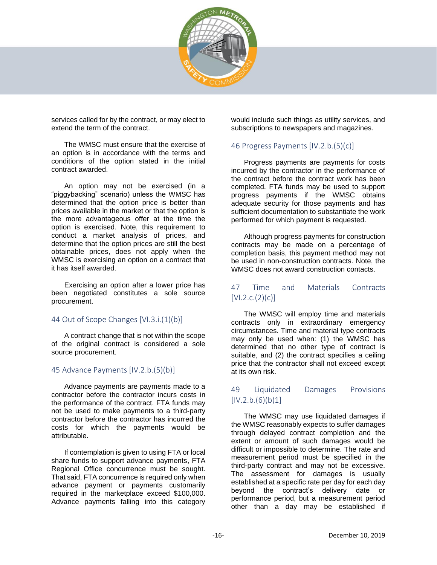

services called for by the contract, or may elect to extend the term of the contract.

The WMSC must ensure that the exercise of an option is in accordance with the terms and conditions of the option stated in the initial contract awarded.

An option may not be exercised (in a "piggybacking" scenario) unless the WMSC has determined that the option price is better than prices available in the market or that the option is the more advantageous offer at the time the option is exercised. Note, this requirement to conduct a market analysis of prices, and determine that the option prices are still the best obtainable prices, does not apply when the WMSC is exercising an option on a contract that it has itself awarded.

Exercising an option after a lower price has been negotiated constitutes a sole source procurement.

#### 44 Out of Scope Changes [VI.3.i.(1)(b)]

A contract change that is not within the scope of the original contract is considered a sole source procurement.

#### 45 Advance Payments [IV.2.b.(5)(b)]

Advance payments are payments made to a contractor before the contractor incurs costs in the performance of the contract. FTA funds may not be used to make payments to a third-party contractor before the contractor has incurred the costs for which the payments would be attributable.

If contemplation is given to using FTA or local share funds to support advance payments, FTA Regional Office concurrence must be sought. That said, FTA concurrence is required only when advance payment or payments customarily required in the marketplace exceed \$100,000. Advance payments falling into this category

would include such things as utility services, and subscriptions to newspapers and magazines.

#### 46 Progress Payments [IV.2.b.(5)(c)]

Progress payments are payments for costs incurred by the contractor in the performance of the contract before the contract work has been completed. FTA funds may be used to support progress payments if the WMSC obtains adequate security for those payments and has sufficient documentation to substantiate the work performed for which payment is requested.

Although progress payments for construction contracts may be made on a percentage of completion basis, this payment method may not be used in non-construction contracts. Note, the WMSC does not award construction contacts.

#### 47 Time and Materials Contracts  $[V1.2.c.(2)(c)]$

The WMSC will employ time and materials contracts only in extraordinary emergency circumstances. Time and material type contracts may only be used when: (1) the WMSC has determined that no other type of contract is suitable, and (2) the contract specifies a ceiling price that the contractor shall not exceed except at its own risk.

#### 49 Liquidated Damages Provisions  $[IV.2.b.(6)(b)1]$

The WMSC may use liquidated damages if the WMSC reasonably expects to suffer damages through delayed contract completion and the extent or amount of such damages would be difficult or impossible to determine. The rate and measurement period must be specified in the third-party contract and may not be excessive. The assessment for damages is usually established at a specific rate per day for each day beyond the contract's delivery date or performance period, but a measurement period other than a day may be established if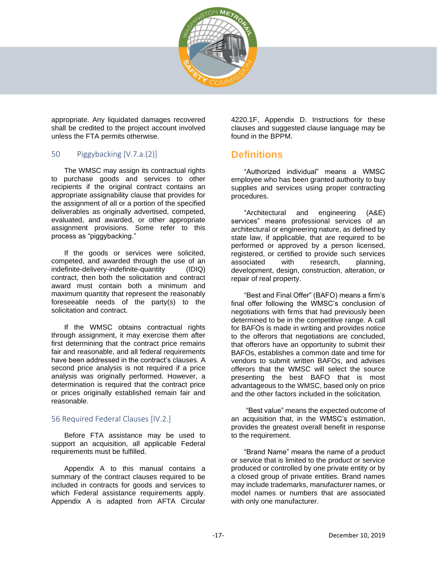

appropriate. Any liquidated damages recovered shall be credited to the project account involved unless the FTA permits otherwise.

#### 50 Piggybacking [V.7.a.(2)]

The WMSC may assign its contractual rights to purchase goods and services to other recipients if the original contract contains an appropriate assignability clause that provides for the assignment of all or a portion of the specified deliverables as originally advertised, competed, evaluated, and awarded, or other appropriate assignment provisions. Some refer to this process as "piggybacking."

If the goods or services were solicited, competed, and awarded through the use of an indefinite-delivery-indefinite-quantity (IDIQ) contract, then both the solicitation and contract award must contain both a minimum and maximum quantity that represent the reasonably foreseeable needs of the party(s) to the solicitation and contract.

If the WMSC obtains contractual rights through assignment, it may exercise them after first determining that the contract price remains fair and reasonable, and all federal requirements have been addressed in the contract's clauses. A second price analysis is not required if a price analysis was originally performed. However, a determination is required that the contract price or prices originally established remain fair and reasonable.

#### 56 Required Federal Clauses [IV.2.]

Before FTA assistance may be used to support an acquisition, all applicable Federal requirements must be fulfilled.

Appendix A to this manual contains a summary of the contract clauses required to be included in contracts for goods and services to which Federal assistance requirements apply. Appendix A is adapted from AFTA Circular

4220.1F, Appendix D. Instructions for these clauses and suggested clause language may be found in the BPPM.

## <span id="page-16-0"></span>**Definitions**

"Authorized individual" means a WMSC employee who has been granted authority to buy supplies and services using proper contracting procedures.

"Architectural and engineering (A&E) services" means professional services of an architectural or engineering nature, as defined by state law, if applicable, that are required to be performed or approved by a person licensed, registered, or certified to provide such services associated with research, planning, development, design, construction, alteration, or repair of real property.

"Best and Final Offer" (BAFO) means a firm's final offer following the WMSC's conclusion of negotiations with firms that had previously been determined to be in the competitive range. A call for BAFOs is made in writing and provides notice to the offerors that negotiations are concluded, that offerors have an opportunity to submit their BAFOs, establishes a common date and time for vendors to submit written BAFOs, and advises offerors that the WMSC will select the source presenting the best BAFO that is most advantageous to the WMSC, based only on price and the other factors included in the solicitation.

"Best value" means the expected outcome of an acquisition that, in the WMSC's estimation, provides the greatest overall benefit in response to the requirement.

"Brand Name" means the name of a product or service that is limited to the product or service produced or controlled by one private entity or by a closed group of private entities. Brand names may include trademarks, manufacturer names, or model names or numbers that are associated with only one manufacturer.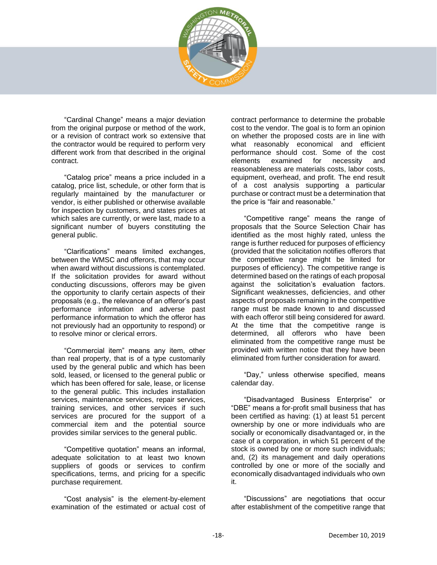

"Cardinal Change" means a major deviation from the original purpose or method of the work. or a revision of contract work so extensive that the contractor would be required to perform very different work from that described in the original contract.

"Catalog price" means a price included in a catalog, price list, schedule, or other form that is regularly maintained by the manufacturer or vendor, is either published or otherwise available for inspection by customers, and states prices at which sales are currently, or were last, made to a significant number of buyers constituting the general public.

"Clarifications" means limited exchanges, between the WMSC and offerors, that may occur when award without discussions is contemplated. If the solicitation provides for award without conducting discussions, offerors may be given the opportunity to clarify certain aspects of their proposals (e.g., the relevance of an offeror's past performance information and adverse past performance information to which the offeror has not previously had an opportunity to respond) or to resolve minor or clerical errors.

"Commercial item" means any item, other than real property, that is of a type customarily used by the general public and which has been sold, leased, or licensed to the general public or which has been offered for sale, lease, or license to the general public. This includes installation services, maintenance services, repair services, training services, and other services if such services are procured for the support of a commercial item and the potential source provides similar services to the general public.

"Competitive quotation" means an informal, adequate solicitation to at least two known suppliers of goods or services to confirm specifications, terms, and pricing for a specific purchase requirement.

"Cost analysis" is the element-by-element examination of the estimated or actual cost of

contract performance to determine the probable cost to the vendor. The goal is to form an opinion on whether the proposed costs are in line with what reasonably economical and efficient performance should cost. Some of the cost elements examined for necessity and reasonableness are materials costs, labor costs, equipment, overhead, and profit. The end result of a cost analysis supporting a particular purchase or contract must be a determination that the price is "fair and reasonable."

"Competitive range" means the range of proposals that the Source Selection Chair has identified as the most highly rated, unless the range is further reduced for purposes of efficiency (provided that the solicitation notifies offerors that the competitive range might be limited for purposes of efficiency). The competitive range is determined based on the ratings of each proposal against the solicitation's evaluation factors. Significant weaknesses, deficiencies, and other aspects of proposals remaining in the competitive range must be made known to and discussed with each offeror still being considered for award. At the time that the competitive range is determined, all offerors who have been eliminated from the competitive range must be provided with written notice that they have been eliminated from further consideration for award.

"Day," unless otherwise specified, means calendar day.

"Disadvantaged Business Enterprise" or "DBE" means a for-profit small business that has been certified as having: (1) at least 51 percent ownership by one or more individuals who are socially or economically disadvantaged or, in the case of a corporation, in which 51 percent of the stock is owned by one or more such individuals; and, (2) its management and daily operations controlled by one or more of the socially and economically disadvantaged individuals who own it.

"Discussions" are negotiations that occur after establishment of the competitive range that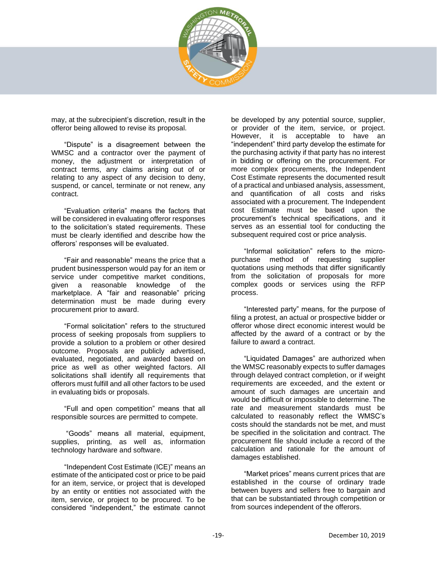

may, at the subrecipient's discretion, result in the offeror being allowed to revise its proposal.

"Dispute" is a disagreement between the WMSC and a contractor over the payment of money, the adjustment or interpretation of contract terms, any claims arising out of or relating to any aspect of any decision to deny, suspend, or cancel, terminate or not renew, any contract.

"Evaluation criteria" means the factors that will be considered in evaluating offeror responses to the solicitation's stated requirements. These must be clearly identified and describe how the offerors' responses will be evaluated.

"Fair and reasonable" means the price that a prudent businessperson would pay for an item or service under competitive market conditions, given a reasonable knowledge of the marketplace. A "fair and reasonable" pricing determination must be made during every procurement prior to award.

"Formal solicitation" refers to the structured process of seeking proposals from suppliers to provide a solution to a problem or other desired outcome. Proposals are publicly advertised, evaluated, negotiated, and awarded based on price as well as other weighted factors. All solicitations shall identify all requirements that offerors must fulfill and all other factors to be used in evaluating bids or proposals.

"Full and open competition" means that all responsible sources are permitted to compete.

"Goods" means all material, equipment, supplies, printing, as well as, information technology hardware and software.

"Independent Cost Estimate (ICE)" means an estimate of the anticipated cost or price to be paid for an item, service, or project that is developed by an entity or entities not associated with the item, service, or project to be procured. To be considered "independent," the estimate cannot be developed by any potential source, supplier, or provider of the item, service, or project. However, it is acceptable to have an "independent" third party develop the estimate for the purchasing activity if that party has no interest in bidding or offering on the procurement. For more complex procurements, the Independent Cost Estimate represents the documented result of a practical and unbiased analysis, assessment, and quantification of all costs and risks associated with a procurement. The Independent cost Estimate must be based upon the procurement's technical specifications, and it serves as an essential tool for conducting the subsequent required cost or price analysis.

"Informal solicitation" refers to the micropurchase method of requesting supplier quotations using methods that differ significantly from the solicitation of proposals for more complex goods or services using the RFP process.

"Interested party" means, for the purpose of filing a protest, an actual or prospective bidder or offeror whose direct economic interest would be affected by the award of a contract or by the failure to award a contract.

"Liquidated Damages" are authorized when the WMSC reasonably expects to suffer damages through delayed contract completion, or if weight requirements are exceeded, and the extent or amount of such damages are uncertain and would be difficult or impossible to determine. The rate and measurement standards must be calculated to reasonably reflect the WMSC's costs should the standards not be met, and must be specified in the solicitation and contract. The procurement file should include a record of the calculation and rationale for the amount of damages established.

"Market prices" means current prices that are established in the course of ordinary trade between buyers and sellers free to bargain and that can be substantiated through competition or from sources independent of the offerors.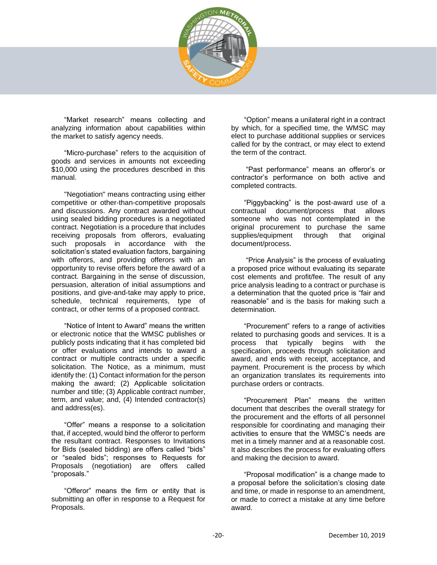

"Market research" means collecting and analyzing information about capabilities within the market to satisfy agency needs.

"Micro-purchase" refers to the acquisition of goods and services in amounts not exceeding \$10,000 using the procedures described in this manual.

"Negotiation" means contracting using either competitive or other-than-competitive proposals and discussions. Any contract awarded without using sealed bidding procedures is a negotiated contract. Negotiation is a procedure that includes receiving proposals from offerors, evaluating such proposals in accordance with the solicitation's stated evaluation factors, bargaining with offerors, and providing offerors with an opportunity to revise offers before the award of a contract. Bargaining in the sense of discussion, persuasion, alteration of initial assumptions and positions, and give-and-take may apply to price, schedule, technical requirements, type of contract, or other terms of a proposed contract.

"Notice of Intent to Award" means the written or electronic notice that the WMSC publishes or publicly posts indicating that it has completed bid or offer evaluations and intends to award a contract or multiple contracts under a specific solicitation. The Notice, as a minimum, must identify the: (1) Contact information for the person making the award; (2) Applicable solicitation number and title; (3) Applicable contract number, term, and value; and, (4) Intended contractor(s) and address(es).

"Offer" means a response to a solicitation that, if accepted, would bind the offeror to perform the resultant contract. Responses to Invitations for Bids (sealed bidding) are offers called "bids" or "sealed bids"; responses to Requests for Proposals (negotiation) are offers called "proposals."

"Offeror" means the firm or entity that is submitting an offer in response to a Request for Proposals.

"Option" means a unilateral right in a contract by which, for a specified time, the WMSC may elect to purchase additional supplies or services called for by the contract, or may elect to extend the term of the contract.

"Past performance" means an offeror's or contractor's performance on both active and completed contracts.

"Piggybacking" is the post-award use of a contractual document/process that allows someone who was not contemplated in the original procurement to purchase the same supplies/equipment through that original document/process.

"Price Analysis" is the process of evaluating a proposed price without evaluating its separate cost elements and profit/fee. The result of any price analysis leading to a contract or purchase is a determination that the quoted price is "fair and reasonable" and is the basis for making such a determination.

"Procurement" refers to a range of activities related to purchasing goods and services. It is a process that typically begins with the specification, proceeds through solicitation and award, and ends with receipt, acceptance, and payment. Procurement is the process by which an organization translates its requirements into purchase orders or contracts.

"Procurement Plan" means the written document that describes the overall strategy for the procurement and the efforts of all personnel responsible for coordinating and managing their activities to ensure that the WMSC's needs are met in a timely manner and at a reasonable cost. It also describes the process for evaluating offers and making the decision to award.

"Proposal modification" is a change made to a proposal before the solicitation's closing date and time, or made in response to an amendment, or made to correct a mistake at any time before award.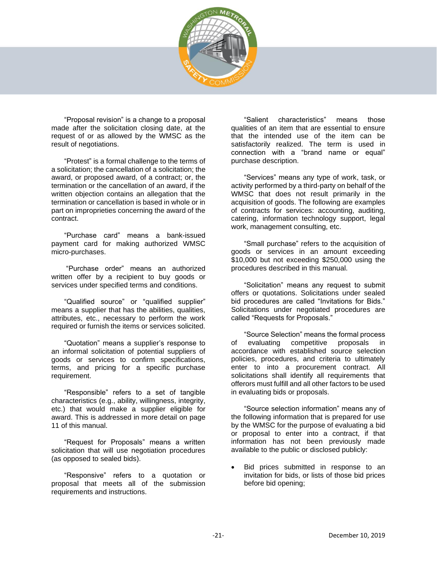

"Proposal revision" is a change to a proposal made after the solicitation closing date, at the request of or as allowed by the WMSC as the result of negotiations.

"Protest" is a formal challenge to the terms of a solicitation; the cancellation of a solicitation; the award, or proposed award, of a contract; or, the termination or the cancellation of an award, if the written objection contains an allegation that the termination or cancellation is based in whole or in part on improprieties concerning the award of the contract.

"Purchase card" means a bank-issued payment card for making authorized WMSC micro-purchases.

"Purchase order" means an authorized written offer by a recipient to buy goods or services under specified terms and conditions.

"Qualified source" or "qualified supplier" means a supplier that has the abilities, qualities, attributes, etc., necessary to perform the work required or furnish the items or services solicited.

"Quotation" means a supplier's response to an informal solicitation of potential suppliers of goods or services to confirm specifications, terms, and pricing for a specific purchase requirement.

"Responsible" refers to a set of tangible characteristics (e.g., ability, willingness, integrity, etc.) that would make a supplier eligible for award. This is addressed in more detail on page [11](#page-10-0) of this manual.

"Request for Proposals" means a written solicitation that will use negotiation procedures (as opposed to sealed bids).

"Responsive" refers to a quotation or proposal that meets all of the submission requirements and instructions.

"Salient characteristics" means those qualities of an item that are essential to ensure that the intended use of the item can be satisfactorily realized. The term is used in connection with a "brand name or equal" purchase description.

"Services" means any type of work, task, or activity performed by a third-party on behalf of the WMSC that does not result primarily in the acquisition of goods. The following are examples of contracts for services: accounting, auditing, catering, information technology support, legal work, management consulting, etc.

"Small purchase" refers to the acquisition of goods or services in an amount exceeding \$10,000 but not exceeding \$250,000 using the procedures described in this manual.

"Solicitation" means any request to submit offers or quotations. Solicitations under sealed bid procedures are called "Invitations for Bids." Solicitations under negotiated procedures are called "Requests for Proposals."

"Source Selection" means the formal process of evaluating competitive proposals in accordance with established source selection policies, procedures, and criteria to ultimately enter to into a procurement contract. All solicitations shall identify all requirements that offerors must fulfill and all other factors to be used in evaluating bids or proposals.

"Source selection information" means any of the following information that is prepared for use by the WMSC for the purpose of evaluating a bid or proposal to enter into a contract, if that information has not been previously made available to the public or disclosed publicly:

Bid prices submitted in response to an invitation for bids, or lists of those bid prices before bid opening;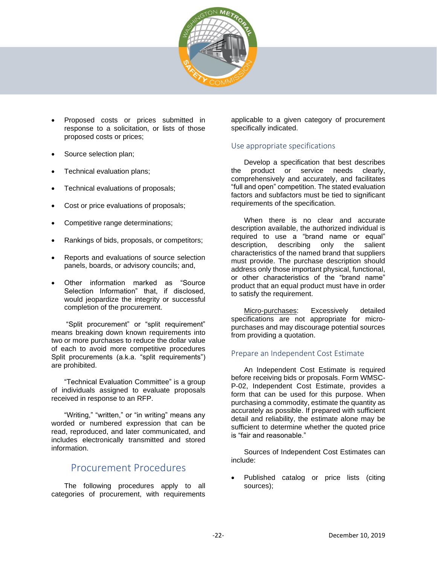

- Proposed costs or prices submitted in response to a solicitation, or lists of those proposed costs or prices;
- Source selection plan;
- Technical evaluation plans;
- Technical evaluations of proposals;
- Cost or price evaluations of proposals;
- Competitive range determinations;
- Rankings of bids, proposals, or competitors;
- Reports and evaluations of source selection panels, boards, or advisory councils; and,
- Other information marked as "Source Selection Information" that, if disclosed, would ieopardize the integrity or successful completion of the procurement.

"Split procurement" or "split requirement" means breaking down known requirements into two or more purchases to reduce the dollar value of each to avoid more competitive procedures Split procurements (a.k.a. "split requirements") are prohibited.

"Technical Evaluation Committee" is a group of individuals assigned to evaluate proposals received in response to an RFP.

"Writing," "written," or "in writing" means any worded or numbered expression that can be read, reproduced, and later communicated, and includes electronically transmitted and stored information.

## Procurement Procedures

<span id="page-21-0"></span>The following procedures apply to all categories of procurement, with requirements

applicable to a given category of procurement specifically indicated.

#### Use appropriate specifications

Develop a specification that best describes the product or service needs clearly, comprehensively and accurately, and facilitates "full and open" competition. The stated evaluation factors and subfactors must be tied to significant requirements of the specification.

When there is no clear and accurate description available, the authorized individual is required to use a "brand name or equal" description, describing only the salient characteristics of the named brand that suppliers must provide. The purchase description should address only those important physical, functional, or other characteristics of the "brand name" product that an equal product must have in order to satisfy the requirement.

Micro-purchases: Excessively detailed specifications are not appropriate for micropurchases and may discourage potential sources from providing a quotation.

#### Prepare an Independent Cost Estimate

An Independent Cost Estimate is required before receiving bids or proposals. Form WMSC-P-02, Independent Cost Estimate, provides a form that can be used for this purpose. When purchasing a commodity, estimate the quantity as accurately as possible. If prepared with sufficient detail and reliability, the estimate alone may be sufficient to determine whether the quoted price is "fair and reasonable."

Sources of Independent Cost Estimates can include:

• Published catalog or price lists (citing sources);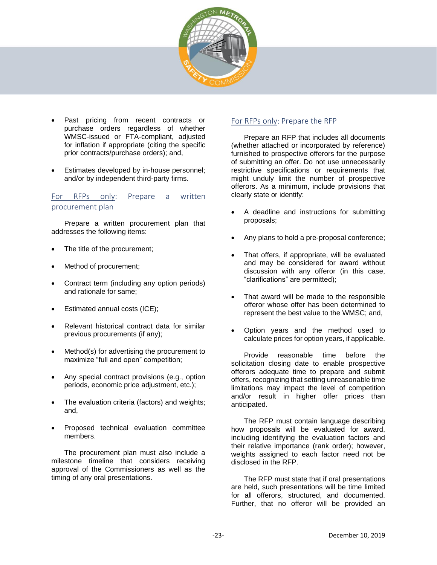

- Past pricing from recent contracts or purchase orders regardless of whether WMSC-issued or FTA-compliant, adjusted for inflation if appropriate (citing the specific prior contracts/purchase orders); and,
- Estimates developed by in-house personnel; and/or by independent third-party firms.

#### For RFPs only: Prepare a written procurement plan

Prepare a written procurement plan that addresses the following items:

- The title of the procurement;
- Method of procurement;
- Contract term (including any option periods) and rationale for same;
- Estimated annual costs (ICE);
- Relevant historical contract data for similar previous procurements (if any);
- Method(s) for advertising the procurement to maximize "full and open" competition;
- Any special contract provisions (e.g., option periods, economic price adjustment, etc.);
- The evaluation criteria (factors) and weights; and,
- Proposed technical evaluation committee members.

The procurement plan must also include a milestone timeline that considers receiving approval of the Commissioners as well as the timing of any oral presentations.

#### For RFPs only: Prepare the RFP

Prepare an RFP that includes all documents (whether attached or incorporated by reference) furnished to prospective offerors for the purpose of submitting an offer. Do not use unnecessarily restrictive specifications or requirements that might unduly limit the number of prospective offerors. As a minimum, include provisions that clearly state or identify:

- A deadline and instructions for submitting proposals;
- Any plans to hold a pre-proposal conference;
- That offers, if appropriate, will be evaluated and may be considered for award without discussion with any offeror (in this case, "clarifications" are permitted);
- That award will be made to the responsible offeror whose offer has been determined to represent the best value to the WMSC; and,
- Option years and the method used to calculate prices for option years, if applicable.

Provide reasonable time before the solicitation closing date to enable prospective offerors adequate time to prepare and submit offers, recognizing that setting unreasonable time limitations may impact the level of competition and/or result in higher offer prices than anticipated.

The RFP must contain language describing how proposals will be evaluated for award, including identifying the evaluation factors and their relative importance (rank order); however, weights assigned to each factor need not be disclosed in the RFP.

The RFP must state that if oral presentations are held, such presentations will be time limited for all offerors, structured, and documented. Further, that no offeror will be provided an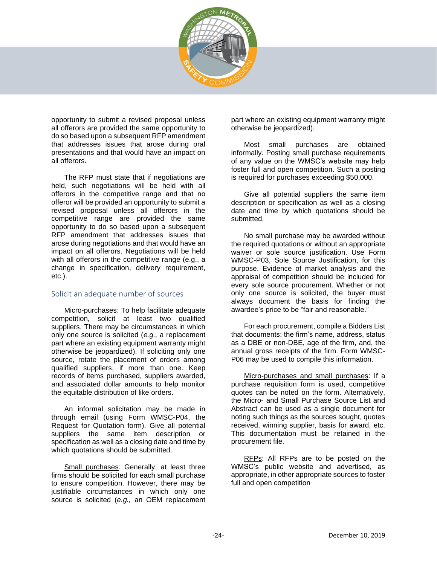

opportunity to submit a revised proposal unless all offerors are provided the same opportunity to do so based upon a subsequent RFP amendment that addresses issues that arose during oral presentations and that would have an impact on all offerors.

The RFP must state that if negotiations are held, such negotiations will be held with all offerors in the competitive range and that no offeror will be provided an opportunity to submit a revised proposal unless all offerors in the competitive range are provided the same opportunity to do so based upon a subsequent RFP amendment that addresses issues that arose during negotiations and that would have an impact on all offerors. Negotiations will be held with all offerors in the competitive range (e.g., a change in specification, delivery requirement, etc.).

#### Solicit an adequate number of sources

Micro-purchases: To help facilitate adequate competition, solicit at least two qualified suppliers. There may be circumstances in which only one source is solicited (*e.g.,* a replacement part where an existing equipment warranty might otherwise be jeopardized). If soliciting only one source, rotate the placement of orders among qualified suppliers, if more than one. Keep records of items purchased, suppliers awarded, and associated dollar amounts to help monitor the equitable distribution of like orders.

An informal solicitation may be made in through email (using Form WMSC-P04, the Request for Quotation form). Give all potential suppliers the same item description or specification as well as a closing date and time by which quotations should be submitted.

Small purchases: Generally, at least three firms should be solicited for each small purchase to ensure competition. However, there may be justifiable circumstances in which only one source is solicited (*e.g.,* an OEM replacement part where an existing equipment warranty might otherwise be jeopardized).

Most small purchases are obtained informally. Posting small purchase requirements of any value on the WMSC's website may help foster full and open competition. Such a posting is required for purchases exceeding \$50,000.

Give all potential suppliers the same item description or specification as well as a closing date and time by which quotations should be submitted.

No small purchase may be awarded without the required quotations or without an appropriate waiver or sole source justification. Use Form WMSC-P03, Sole Source Justification, for this purpose. Evidence of market analysis and the appraisal of competition should be included for every sole source procurement. Whether or not only one source is solicited, the buyer must always document the basis for finding the awardee's price to be "fair and reasonable."

For each procurement, compile a Bidders List that documents: the firm's name, address, status as a DBE or non-DBE, age of the firm, and, the annual gross receipts of the firm. Form WMSC-P06 may be used to compile this information.

Micro-purchases and small purchases: If a purchase requisition form is used, competitive quotes can be noted on the form. Alternatively, the Micro- and Small Purchase Source List and Abstract can be used as a single document for noting such things as the sources sought, quotes received, winning supplier, basis for award, etc. This documentation must be retained in the procurement file.

RFPs: All RFPs are to be posted on the WMSC's public website and advertised, as appropriate, in other appropriate sources to foster full and open competition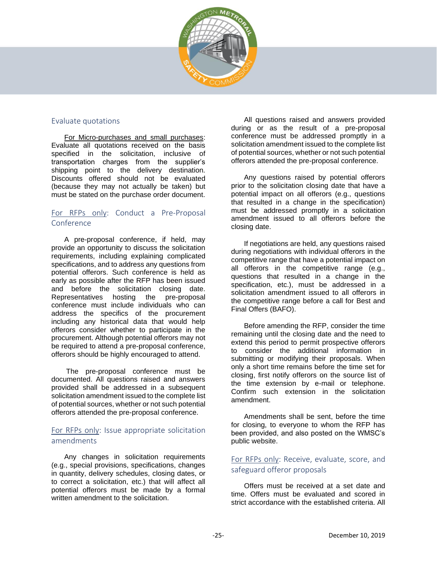

#### Evaluate quotations

For Micro-purchases and small purchases: Evaluate all quotations received on the basis specified in the solicitation, inclusive of transportation charges from the supplier's shipping point to the delivery destination. Discounts offered should not be evaluated (because they may not actually be taken) but must be stated on the purchase order document.

#### For RFPs only: Conduct a Pre-Proposal Conference

A pre-proposal conference, if held, may provide an opportunity to discuss the solicitation requirements, including explaining complicated specifications, and to address any questions from potential offerors. Such conference is held as early as possible after the RFP has been issued and before the solicitation closing date. Representatives hosting the pre-proposal conference must include individuals who can address the specifics of the procurement including any historical data that would help offerors consider whether to participate in the procurement. Although potential offerors may not be required to attend a pre-proposal conference. offerors should be highly encouraged to attend.

The pre-proposal conference must be documented. All questions raised and answers provided shall be addressed in a subsequent solicitation amendment issued to the complete list of potential sources, whether or not such potential offerors attended the pre-proposal conference.

#### For RFPs only: Issue appropriate solicitation amendments

Any changes in solicitation requirements (e.g., special provisions, specifications, changes in quantity, delivery schedules, closing dates, or to correct a solicitation, etc.) that will affect all potential offerors must be made by a formal written amendment to the solicitation.

All questions raised and answers provided during or as the result of a pre-proposal conference must be addressed promptly in a solicitation amendment issued to the complete list of potential sources, whether or not such potential offerors attended the pre-proposal conference.

Any questions raised by potential offerors prior to the solicitation closing date that have a potential impact on all offerors (e.g., questions that resulted in a change in the specification) must be addressed promptly in a solicitation amendment issued to all offerors before the closing date.

If negotiations are held, any questions raised during negotiations with individual offerors in the competitive range that have a potential impact on all offerors in the competitive range (e.g., questions that resulted in a change in the specification, etc.), must be addressed in a solicitation amendment issued to all offerors in the competitive range before a call for Best and Final Offers (BAFO).

Before amending the RFP, consider the time remaining until the closing date and the need to extend this period to permit prospective offerors to consider the additional information in submitting or modifying their proposals. When only a short time remains before the time set for closing, first notify offerors on the source list of the time extension by e-mail or telephone. Confirm such extension in the solicitation amendment.

Amendments shall be sent, before the time for closing, to everyone to whom the RFP has been provided, and also posted on the WMSC's public website.

#### For RFPs only: Receive, evaluate, score, and safeguard offeror proposals

Offers must be received at a set date and time. Offers must be evaluated and scored in strict accordance with the established criteria. All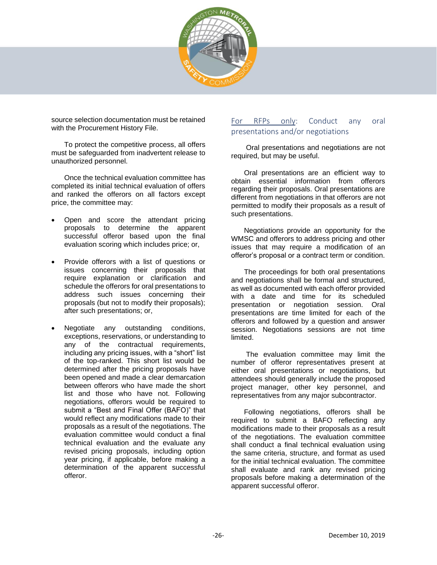

source selection documentation must be retained with the Procurement History File.

To protect the competitive process, all offers must be safeguarded from inadvertent release to unauthorized personnel.

Once the technical evaluation committee has completed its initial technical evaluation of offers and ranked the offerors on all factors except price, the committee may:

- Open and score the attendant pricing proposals to determine the apparent successful offeror based upon the final evaluation scoring which includes price; or,
- Provide offerors with a list of questions or issues concerning their proposals that require explanation or clarification and schedule the offerors for oral presentations to address such issues concerning their proposals (but not to modify their proposals); after such presentations; or,
- Negotiate any outstanding conditions, exceptions, reservations, or understanding to any of the contractual requirements, including any pricing issues, with a "short" list of the top-ranked. This short list would be determined after the pricing proposals have been opened and made a clear demarcation between offerors who have made the short list and those who have not. Following negotiations, offerors would be required to submit a "Best and Final Offer (BAFO)" that would reflect any modifications made to their proposals as a result of the negotiations. The evaluation committee would conduct a final technical evaluation and the evaluate any revised pricing proposals, including option year pricing, if applicable, before making a determination of the apparent successful offeror.

#### For RFPs only: Conduct any oral presentations and/or negotiations

Oral presentations and negotiations are not required, but may be useful.

Oral presentations are an efficient way to obtain essential information from offerors regarding their proposals. Oral presentations are different from negotiations in that offerors are not permitted to modify their proposals as a result of such presentations.

Negotiations provide an opportunity for the WMSC and offerors to address pricing and other issues that may require a modification of an offeror's proposal or a contract term or condition.

The proceedings for both oral presentations and negotiations shall be formal and structured, as well as documented with each offeror provided with a date and time for its scheduled presentation or negotiation session. Oral presentations are time limited for each of the offerors and followed by a question and answer session. Negotiations sessions are not time limited.

The evaluation committee may limit the number of offeror representatives present at either oral presentations or negotiations, but attendees should generally include the proposed project manager, other key personnel, and representatives from any major subcontractor.

Following negotiations, offerors shall be required to submit a BAFO reflecting any modifications made to their proposals as a result of the negotiations. The evaluation committee shall conduct a final technical evaluation using the same criteria, structure, and format as used for the initial technical evaluation. The committee shall evaluate and rank any revised pricing proposals before making a determination of the apparent successful offeror.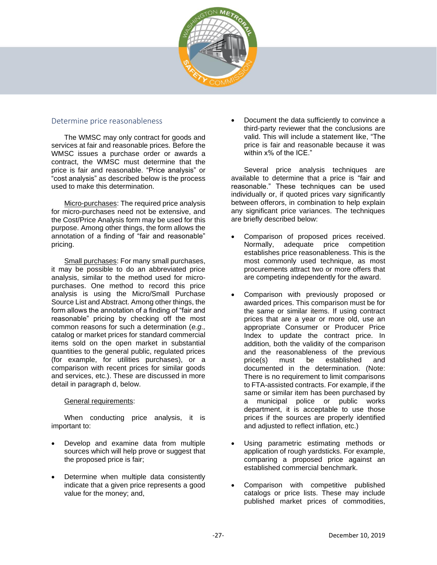

#### Determine price reasonableness

The WMSC may only contract for goods and services at fair and reasonable prices. Before the WMSC issues a purchase order or awards a contract, the WMSC must determine that the price is fair and reasonable. "Price analysis" or "cost analysis" as described below is the process used to make this determination.

Micro-purchases: The required price analysis for micro-purchases need not be extensive, and the Cost/Price Analysis form may be used for this purpose. Among other things, the form allows the annotation of a finding of "fair and reasonable" pricing.

Small purchases: For many small purchases, it may be possible to do an abbreviated price analysis, similar to the method used for micropurchases. One method to record this price analysis is using the Micro/Small Purchase Source List and Abstract. Among other things, the form allows the annotation of a finding of "fair and reasonable" pricing by checking off the most common reasons for such a determination (*e.g.,* catalog or market prices for standard commercial items sold on the open market in substantial quantities to the general public, regulated prices (for example, for utilities purchases), or a comparison with recent prices for similar goods and services, etc.). These are discussed in more detail in paragraph d, below.

#### General requirements:

When conducting price analysis, it is important to:

- Develop and examine data from multiple sources which will help prove or suggest that the proposed price is fair;
- Determine when multiple data consistently indicate that a given price represents a good value for the money; and,

• Document the data sufficiently to convince a third-party reviewer that the conclusions are valid. This will include a statement like, "The price is fair and reasonable because it was within x% of the ICE."

Several price analysis techniques are available to determine that a price is "fair and reasonable." These techniques can be used individually or, if quoted prices vary significantly between offerors, in combination to help explain any significant price variances. The techniques are briefly described below:

- Comparison of proposed prices received. Normally, adequate price competition establishes price reasonableness. This is the most commonly used technique, as most procurements attract two or more offers that are competing independently for the award.
- Comparison with previously proposed or awarded prices. This comparison must be for the same or similar items. If using contract prices that are a year or more old, use an appropriate Consumer or Producer Price Index to update the contract price. In addition, both the validity of the comparison and the reasonableness of the previous price(s) must be established and documented in the determination. (Note: There is no requirement to limit comparisons to FTA-assisted contracts. For example, if the same or similar item has been purchased by a municipal police or public works department, it is acceptable to use those prices if the sources are properly identified and adjusted to reflect inflation, etc.)
- Using parametric estimating methods or application of rough yardsticks. For example, comparing a proposed price against an established commercial benchmark.
- Comparison with competitive published catalogs or price lists. These may include published market prices of commodities,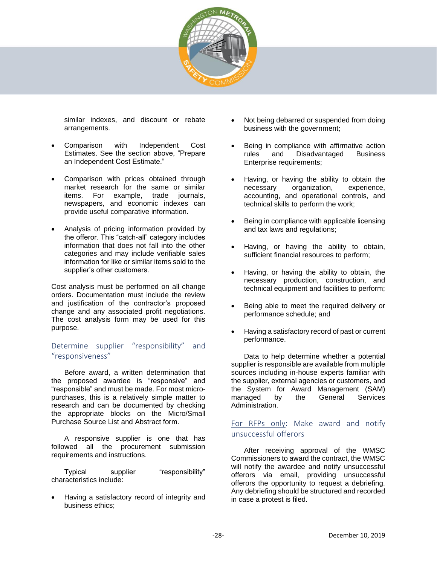

similar indexes, and discount or rebate arrangements.

- Comparison with Independent Cost Estimates. See the section above, "Prepare an Independent Cost Estimate."
- Comparison with prices obtained through market research for the same or similar items. For example, trade journals, newspapers, and economic indexes can provide useful comparative information.
- Analysis of pricing information provided by the offeror. This "catch-all" category includes information that does not fall into the other categories and may include verifiable sales information for like or similar items sold to the supplier's other customers.

Cost analysis must be performed on all change orders. Documentation must include the review and justification of the contractor's proposed change and any associated profit negotiations. The cost analysis form may be used for this purpose.

#### Determine supplier "responsibility" and "responsiveness"

Before award, a written determination that the proposed awardee is "responsive" and "responsible" and must be made. For most micropurchases, this is a relatively simple matter to research and can be documented by checking the appropriate blocks on the Micro/Small Purchase Source List and Abstract form.

A responsive supplier is one that has followed all the procurement submission requirements and instructions.

Typical supplier "responsibility" characteristics include:

• Having a satisfactory record of integrity and business ethics;

- Not being debarred or suspended from doing business with the government;
- Being in compliance with affirmative action rules and Disadvantaged Business Enterprise requirements;
- Having, or having the ability to obtain the necessary organization, experience, accounting, and operational controls, and technical skills to perform the work;
- Being in compliance with applicable licensing and tax laws and regulations;
- Having, or having the ability to obtain, sufficient financial resources to perform;
- Having, or having the ability to obtain, the necessary production, construction, and technical equipment and facilities to perform;
- Being able to meet the required delivery or performance schedule; and
- Having a satisfactory record of past or current performance.

Data to help determine whether a potential supplier is responsible are available from multiple sources including in-house experts familiar with the supplier, external agencies or customers, and the System for Award Management (SAM)<br>managed by the General Services managed by the General Services Administration.

#### For RFPs only: Make award and notify unsuccessful offerors

After receiving approval of the WMSC Commissioners to award the contract, the WMSC will notify the awardee and notify unsuccessful offerors via email, providing unsuccessful offerors the opportunity to request a debriefing. Any debriefing should be structured and recorded in case a protest is filed.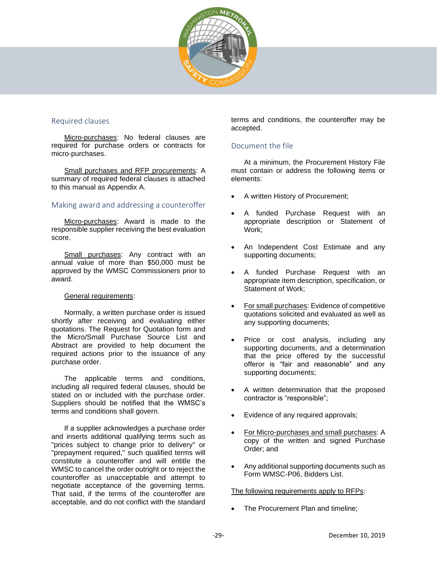

#### Required clauses

Micro-purchases: No federal clauses are required for purchase orders or contracts for micro-purchases.

Small purchases and RFP procurements: A summary of required federal clauses is attached to this manual as Appendix A.

#### Making award and addressing a counteroffer

Micro-purchases: Award is made to the responsible supplier receiving the best evaluation score.

Small purchases: Any contract with an annual value of more than \$50,000 must be approved by the WMSC Commissioners prior to award.

#### General requirements:

Normally, a written purchase order is issued shortly after receiving and evaluating either quotations. The Request for Quotation form and the Micro/Small Purchase Source List and Abstract are provided to help document the required actions prior to the issuance of any purchase order.

The applicable terms and conditions, including all required federal clauses, should be stated on or included with the purchase order. Suppliers should be notified that the WMSC's terms and conditions shall govern.

If a supplier acknowledges a purchase order and inserts additional qualifying terms such as "prices subject to change prior to delivery" or "prepayment required," such qualified terms will constitute a counteroffer and will entitle the WMSC to cancel the order outright or to reject the counteroffer as unacceptable and attempt to negotiate acceptance of the governing terms. That said, if the terms of the counteroffer are acceptable, and do not conflict with the standard terms and conditions, the counteroffer may be accepted.

#### <span id="page-28-0"></span>Document the file

At a minimum, the Procurement History File must contain or address the following items or elements:

- A written History of Procurement;
- A funded Purchase Request with an appropriate description or Statement of Work;
- An Independent Cost Estimate and any supporting documents;
- A funded Purchase Request with an appropriate item description, specification, or Statement of Work;
- For small purchases: Evidence of competitive quotations solicited and evaluated as well as any supporting documents;
- Price or cost analysis, including any supporting documents, and a determination that the price offered by the successful offeror is "fair and reasonable" and any supporting documents;
- A written determination that the proposed contractor is "responsible";
- Evidence of any required approvals;
- For Micro-purchases and small purchases: A copy of the written and signed Purchase Order; and
- Any additional supporting documents such as Form WMSC-P06, Bidders List.

The following requirements apply to RFPs:

• The Procurement Plan and timeline;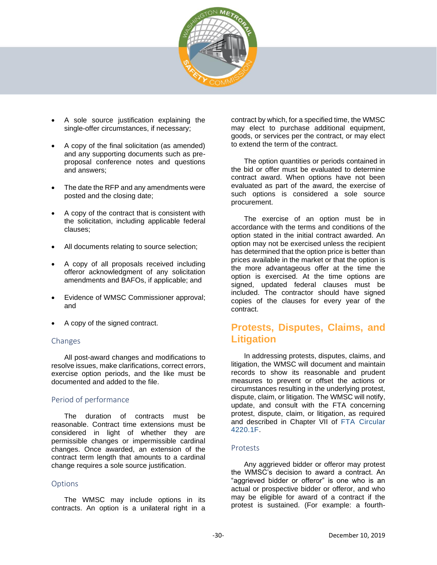

- A sole source justification explaining the single-offer circumstances, if necessary;
- A copy of the final solicitation (as amended) and any supporting documents such as preproposal conference notes and questions and answers;
- The date the RFP and any amendments were posted and the closing date;
- A copy of the contract that is consistent with the solicitation, including applicable federal clauses;
- All documents relating to source selection;
- A copy of all proposals received including offeror acknowledgment of any solicitation amendments and BAFOs, if applicable; and
- Evidence of WMSC Commissioner approval; and
- A copy of the signed contract.

#### Changes

All post-award changes and modifications to resolve issues, make clarifications, correct errors, exercise option periods, and the like must be documented and added to the file.

#### Period of performance

The duration of contracts must be reasonable. Contract time extensions must be considered in light of whether they are permissible changes or impermissible cardinal changes. Once awarded, an extension of the contract term length that amounts to a cardinal change requires a sole source justification.

#### Options

The WMSC may include options in its contracts. An option is a unilateral right in a contract by which, for a specified time, the WMSC may elect to purchase additional equipment, goods, or services per the contract, or may elect to extend the term of the contract.

The option quantities or periods contained in the bid or offer must be evaluated to determine contract award. When options have not been evaluated as part of the award, the exercise of such options is considered a sole source procurement.

The exercise of an option must be in accordance with the terms and conditions of the option stated in the initial contract awarded. An option may not be exercised unless the recipient has determined that the option price is better than prices available in the market or that the option is the more advantageous offer at the time the option is exercised. At the time options are signed, updated federal clauses must be included. The contractor should have signed copies of the clauses for every year of the contract.

## <span id="page-29-0"></span>**Protests, Disputes, Claims, and Litigation**

In addressing protests, disputes, claims, and litigation, the WMSC will document and maintain records to show its reasonable and prudent measures to prevent or offset the actions or circumstances resulting in the underlying protest, dispute, claim, or litigation. The WMSC will notify, update, and consult with the FTA concerning protest, dispute, claim, or litigation, as required and described in Chapter VII of FTA Circular 4220.1F.

#### Protests

Any aggrieved bidder or offeror may protest the WMSC's decision to award a contract. An "aggrieved bidder or offeror" is one who is an actual or prospective bidder or offeror, and who may be eligible for award of a contract if the protest is sustained. (For example: a fourth-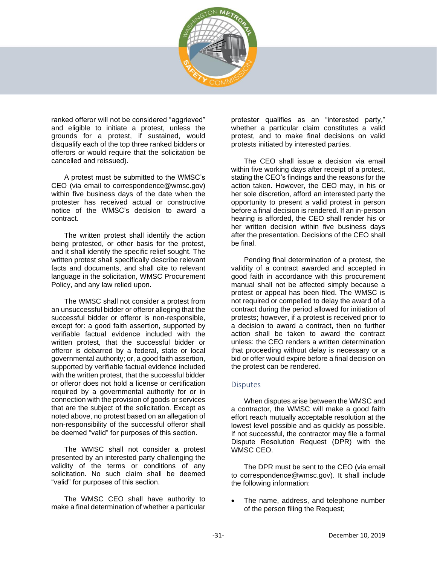

ranked offeror will not be considered "aggrieved" and eligible to initiate a protest, unless the grounds for a protest, if sustained, would disqualify each of the top three ranked bidders or offerors or would require that the solicitation be cancelled and reissued).

A protest must be submitted to the WMSC's CEO (via email to correspondence@wmsc.gov) within five business days of the date when the protester has received actual or constructive notice of the WMSC's decision to award a contract.

The written protest shall identify the action being protested, or other basis for the protest, and it shall identify the specific relief sought. The written protest shall specifically describe relevant facts and documents, and shall cite to relevant language in the solicitation, WMSC Procurement Policy, and any law relied upon.

The WMSC shall not consider a protest from an unsuccessful bidder or offeror alleging that the successful bidder or offeror is non-responsible, except for: a good faith assertion, supported by verifiable factual evidence included with the written protest, that the successful bidder or offeror is debarred by a federal, state or local governmental authority; or, a good faith assertion, supported by verifiable factual evidence included with the written protest, that the successful bidder or offeror does not hold a license or certification required by a governmental authority for or in connection with the provision of goods or services that are the subject of the solicitation. Except as noted above, no protest based on an allegation of non-responsibility of the successful offeror shall be deemed "valid" for purposes of this section.

The WMSC shall not consider a protest presented by an interested party challenging the validity of the terms or conditions of any solicitation. No such claim shall be deemed "valid" for purposes of this section.

The WMSC CEO shall have authority to make a final determination of whether a particular protester qualifies as an "interested party," whether a particular claim constitutes a valid protest, and to make final decisions on valid protests initiated by interested parties.

The CEO shall issue a decision via email within five working days after receipt of a protest, stating the CEO's findings and the reasons for the action taken. However, the CEO may, in his or her sole discretion, afford an interested party the opportunity to present a valid protest in person before a final decision is rendered. If an in-person hearing is afforded, the CEO shall render his or her written decision within five business days after the presentation. Decisions of the CEO shall be final.

Pending final determination of a protest, the validity of a contract awarded and accepted in good faith in accordance with this procurement manual shall not be affected simply because a protest or appeal has been filed. The WMSC is not required or compelled to delay the award of a contract during the period allowed for initiation of protests; however, if a protest is received prior to a decision to award a contract, then no further action shall be taken to award the contract unless: the CEO renders a written determination that proceeding without delay is necessary or a bid or offer would expire before a final decision on the protest can be rendered.

#### **Disputes**

When disputes arise between the WMSC and a contractor, the WMSC will make a good faith effort reach mutually acceptable resolution at the lowest level possible and as quickly as possible. If not successful, the contractor may file a formal Dispute Resolution Request (DPR) with the WMSC CEO.

The DPR must be sent to the CEO (via email to correspondence@wmsc.gov). It shall include the following information:

The name, address, and telephone number of the person filing the Request;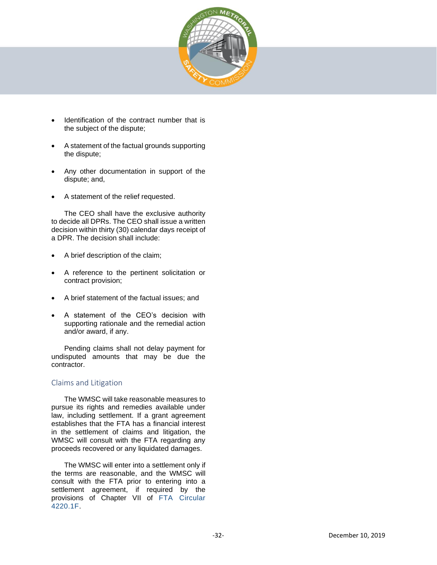

- Identification of the contract number that is the subject of the dispute;
- A statement of the factual grounds supporting the dispute;
- Any other documentation in support of the dispute; and,
- A statement of the relief requested.

The CEO shall have the exclusive authority to decide all DPRs. The CEO shall issue a written decision within thirty (30) calendar days receipt of a DPR. The decision shall include:

- A brief description of the claim;
- A reference to the pertinent solicitation or contract provision;
- A brief statement of the factual issues; and
- A statement of the CEO's decision with supporting rationale and the remedial action and/or award, if any.

Pending claims shall not delay payment for undisputed amounts that may be due the contractor.

#### Claims and Litigation

The WMSC will take reasonable measures to pursue its rights and remedies available under law, including settlement. If a grant agreement establishes that the FTA has a financial interest in the settlement of claims and litigation, the WMSC will consult with the FTA regarding any proceeds recovered or any liquidated damages.

The WMSC will enter into a settlement only if the terms are reasonable, and the WMSC will consult with the FTA prior to entering into a settlement agreement, if required by the provisions of Chapter VII of FTA Circular 4220.1F.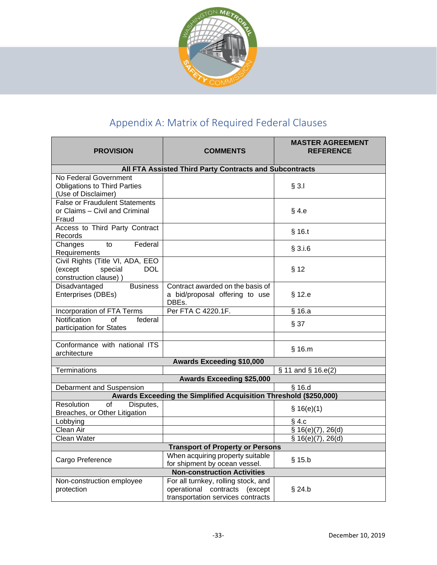

## Appendix A: Matrix of Required Federal Clauses

<span id="page-32-0"></span>

| <b>PROVISION</b>                                                                              | <b>COMMENTS</b>                                                                                           | <b>MASTER AGREEMENT</b><br><b>REFERENCE</b> |  |
|-----------------------------------------------------------------------------------------------|-----------------------------------------------------------------------------------------------------------|---------------------------------------------|--|
| All FTA Assisted Third Party Contracts and Subcontracts                                       |                                                                                                           |                                             |  |
| No Federal Government<br><b>Obligations to Third Parties</b><br>(Use of Disclaimer)           |                                                                                                           | § 3.1                                       |  |
| <b>False or Fraudulent Statements</b><br>or Claims – Civil and Criminal<br>Fraud              |                                                                                                           | $§$ 4.e                                     |  |
| Access to Third Party Contract<br>Records                                                     |                                                                                                           | $§$ 16.t                                    |  |
| Federal<br>Changes<br>to<br>Requirements                                                      |                                                                                                           | $§$ 3.i.6                                   |  |
| Civil Rights (Title VI, ADA, EEO<br>(except<br>special<br><b>DOL</b><br>construction clause)) |                                                                                                           | § 12                                        |  |
| Disadvantaged<br><b>Business</b><br>Enterprises (DBEs)                                        | Contract awarded on the basis of<br>a bid/proposal offering to use<br>DBEs.                               | $§$ 12.e                                    |  |
| Incorporation of FTA Terms                                                                    | Per FTA C 4220.1F.                                                                                        | § 16.a                                      |  |
| Notification<br>of<br>federal<br>participation for States                                     |                                                                                                           | § 37                                        |  |
| Conformance with national ITS<br>architecture                                                 |                                                                                                           | $§$ 16. $m$                                 |  |
| <b>Awards Exceeding \$10,000</b>                                                              |                                                                                                           |                                             |  |
| <b>Terminations</b>                                                                           |                                                                                                           | § 11 and § 16.e(2)                          |  |
| <b>Awards Exceeding \$25,000</b>                                                              |                                                                                                           |                                             |  |
| Debarment and Suspension                                                                      |                                                                                                           | $\sqrt{516.d}$                              |  |
| Awards Exceeding the Simplified Acquisition Threshold (\$250,000)                             |                                                                                                           |                                             |  |
| Resolution<br>$\overline{of}$<br>Disputes,<br>Breaches, or Other Litigation                   |                                                                                                           | \$16(e)(1)                                  |  |
| Lobbying                                                                                      |                                                                                                           | $§$ 4.c                                     |  |
| Clean Air                                                                                     |                                                                                                           | \$16(e)(7), 26(d)                           |  |
| Clean Water                                                                                   |                                                                                                           | \$16(e)(7), 26(d)                           |  |
| <b>Transport of Property or Persons</b>                                                       |                                                                                                           |                                             |  |
| Cargo Preference                                                                              | When acquiring property suitable<br>for shipment by ocean vessel.                                         | $§$ 15.b                                    |  |
| <b>Non-construction Activities</b>                                                            |                                                                                                           |                                             |  |
| Non-construction employee<br>protection                                                       | For all turnkey, rolling stock, and<br>operational contracts (except<br>transportation services contracts | $§$ 24.b                                    |  |